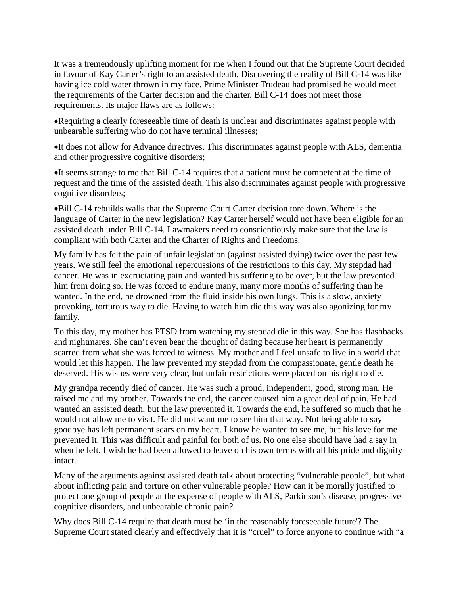It was a tremendously uplifting moment for me when I found out that the Supreme Court decided in favour of Kay Carter's right to an assisted death. Discovering the reality of Bill C-14 was like having ice cold water thrown in my face. Prime Minister Trudeau had promised he would meet the requirements of the Carter decision and the charter. Bill C-14 does not meet those requirements. Its major flaws are as follows:

•Requiring a clearly foreseeable time of death is unclear and discriminates against people with unbearable suffering who do not have terminal illnesses;

•It does not allow for Advance directives. This discriminates against people with ALS, dementia and other progressive cognitive disorders;

•It seems strange to me that Bill C-14 requires that a patient must be competent at the time of request and the time of the assisted death. This also discriminates against people with progressive cognitive disorders;

•Bill C-14 rebuilds walls that the Supreme Court Carter decision tore down. Where is the language of Carter in the new legislation? Kay Carter herself would not have been eligible for an assisted death under Bill C-14. Lawmakers need to conscientiously make sure that the law is compliant with both Carter and the Charter of Rights and Freedoms.

My family has felt the pain of unfair legislation (against assisted dying) twice over the past few years. We still feel the emotional repercussions of the restrictions to this day. My stepdad had cancer. He was in excruciating pain and wanted his suffering to be over, but the law prevented him from doing so. He was forced to endure many, many more months of suffering than he wanted. In the end, he drowned from the fluid inside his own lungs. This is a slow, anxiety provoking, torturous way to die. Having to watch him die this way was also agonizing for my family.

To this day, my mother has PTSD from watching my stepdad die in this way. She has flashbacks and nightmares. She can't even bear the thought of dating because her heart is permanently scarred from what she was forced to witness. My mother and I feel unsafe to live in a world that would let this happen. The law prevented my stepdad from the compassionate, gentle death he deserved. His wishes were very clear, but unfair restrictions were placed on his right to die.

My grandpa recently died of cancer. He was such a proud, independent, good, strong man. He raised me and my brother. Towards the end, the cancer caused him a great deal of pain. He had wanted an assisted death, but the law prevented it. Towards the end, he suffered so much that he would not allow me to visit. He did not want me to see him that way. Not being able to say goodbye has left permanent scars on my heart. I know he wanted to see me, but his love for me prevented it. This was difficult and painful for both of us. No one else should have had a say in when he left. I wish he had been allowed to leave on his own terms with all his pride and dignity intact.

Many of the arguments against assisted death talk about protecting "vulnerable people", but what about inflicting pain and torture on other vulnerable people? How can it be morally justified to protect one group of people at the expense of people with ALS, Parkinson's disease, progressive cognitive disorders, and unbearable chronic pain?

Why does Bill C-14 require that death must be 'in the reasonably foreseeable future'? The Supreme Court stated clearly and effectively that it is "cruel" to force anyone to continue with "a